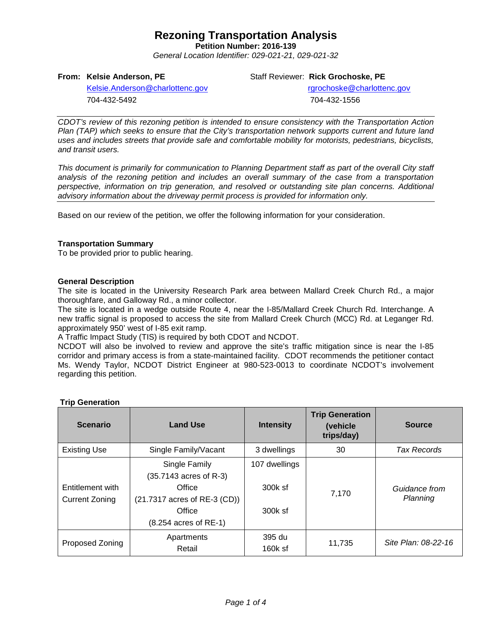# **Rezoning Transportation Analysis**

**Petition Number: 2016-139**

*General Location Identifier: 029-021-21, 029-021-32*

### **From: Kelsie Anderson, PE**

Staff Reviewer: **Rick Grochoske, PE**

[Kelsie.Anderson@charlottenc.gov](mailto:Kelsie.Anderson@charlottenc.gov) 704-432-5492

rgrochoske@charlottenc.gov 704-432-1556

*CDOT's review of this rezoning petition is intended to ensure consistency with the Transportation Action Plan (TAP) which seeks to ensure that the City's transportation network supports current and future land uses and includes streets that provide safe and comfortable mobility for motorists, pedestrians, bicyclists, and transit users.*

*This document is primarily for communication to Planning Department staff as part of the overall City staff analysis of the rezoning petition and includes an overall summary of the case from a transportation perspective, information on trip generation, and resolved or outstanding site plan concerns. Additional advisory information about the driveway permit process is provided for information only.*

Based on our review of the petition, we offer the following information for your consideration.

### **Transportation Summary**

To be provided prior to public hearing.

### **General Description**

The site is located in the University Research Park area between Mallard Creek Church Rd., a major thoroughfare, and Galloway Rd., a minor collector.

The site is located in a wedge outside Route 4, near the I-85/Mallard Creek Church Rd. Interchange. A new traffic signal is proposed to access the site from Mallard Creek Church (MCC) Rd. at Leganger Rd. approximately 950' west of I-85 exit ramp.

A Traffic Impact Study (TIS) is required by both CDOT and NCDOT.

NCDOT will also be involved to review and approve the site's traffic mitigation since is near the I-85 corridor and primary access is from a state-maintained facility. CDOT recommends the petitioner contact Ms. Wendy Taylor, NCDOT District Engineer at 980-523-0013 to coordinate NCDOT's involvement regarding this petition.

| <b>Scenario</b>                           | <b>Land Use</b>                                  | <b>Intensity</b>    | <b>Trip Generation</b><br>(vehicle<br>trips/day) | <b>Source</b>             |
|-------------------------------------------|--------------------------------------------------|---------------------|--------------------------------------------------|---------------------------|
| <b>Existing Use</b>                       | Single Family/Vacant                             | 3 dwellings         | 30                                               | <b>Tax Records</b>        |
|                                           | Single Family<br>(35.7143 acres of R-3)          | 107 dwellings       |                                                  | Guidance from<br>Planning |
| Entitlement with<br><b>Current Zoning</b> | Office<br>(21.7317 acres of RE-3 (CD))<br>Office | 300k sf<br>300k sf  | 7,170                                            |                           |
|                                           | $(8.254$ acres of RE-1)                          |                     |                                                  |                           |
| <b>Proposed Zoning</b>                    | Apartments<br>Retail                             | 395 du<br>$160k$ sf | 11,735                                           | Site Plan: 08-22-16       |

# **Trip Generation**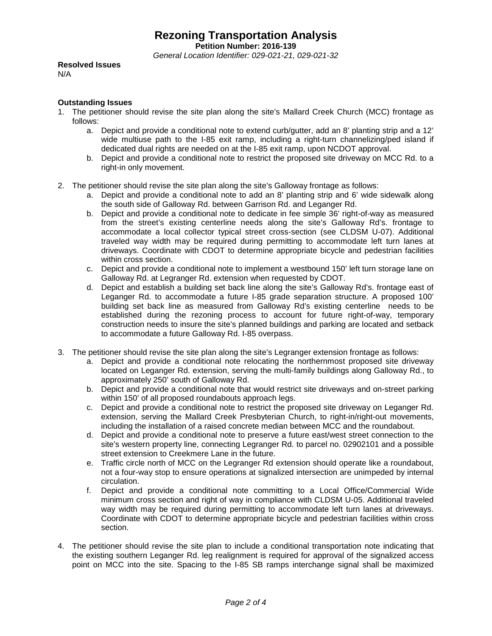**Petition Number: 2016-139**

*General Location Identifier: 029-021-21, 029-021-32*

**Resolved Issues**

N/A

### **Outstanding Issues**

- 1. The petitioner should revise the site plan along the site's Mallard Creek Church (MCC) frontage as follows:
	- a. Depict and provide a conditional note to extend curb/gutter, add an 8' planting strip and a 12' wide multiuse path to the I-85 exit ramp, including a right-turn channelizing/ped island if dedicated dual rights are needed on at the I-85 exit ramp, upon NCDOT approval.
	- b. Depict and provide a conditional note to restrict the proposed site driveway on MCC Rd. to a right-in only movement.
- 2. The petitioner should revise the site plan along the site's Galloway frontage as follows:
	- a. Depict and provide a conditional note to add an 8' planting strip and 6' wide sidewalk along the south side of Galloway Rd. between Garrison Rd. and Leganger Rd.
	- b. Depict and provide a conditional note to dedicate in fee simple 36' right-of-way as measured from the street's existing centerline needs along the site's Galloway Rd's. frontage to accommodate a local collector typical street cross-section (see CLDSM U-07). Additional traveled way width may be required during permitting to accommodate left turn lanes at driveways. Coordinate with CDOT to determine appropriate bicycle and pedestrian facilities within cross section.
	- c. Depict and provide a conditional note to implement a westbound 150' left turn storage lane on Galloway Rd. at Legranger Rd. extension when requested by CDOT.
	- d. Depict and establish a building set back line along the site's Galloway Rd's. frontage east of Leganger Rd. to accommodate a future I-85 grade separation structure. A proposed 100' building set back line as measured from Galloway Rd's existing centerline needs to be established during the rezoning process to account for future right-of-way, temporary construction needs to insure the site's planned buildings and parking are located and setback to accommodate a future Galloway Rd. I-85 overpass.
- 3. The petitioner should revise the site plan along the site's Legranger extension frontage as follows:
	- a. Depict and provide a conditional note relocating the northernmost proposed site driveway located on Leganger Rd. extension, serving the multi-family buildings along Galloway Rd., to approximately 250' south of Galloway Rd.
	- b. Depict and provide a conditional note that would restrict site driveways and on-street parking within 150' of all proposed roundabouts approach legs.
	- c. Depict and provide a conditional note to restrict the proposed site driveway on Leganger Rd. extension, serving the Mallard Creek Presbyterian Church, to right-in/right-out movements, including the installation of a raised concrete median between MCC and the roundabout.
	- d. Depict and provide a conditional note to preserve a future east/west street connection to the site's western property line, connecting Legranger Rd. to parcel no. 02902101 and a possible street extension to Creekmere Lane in the future.
	- e. Traffic circle north of MCC on the Legranger Rd extension should operate like a roundabout, not a four-way stop to ensure operations at signalized intersection are unimpeded by internal circulation.
	- f. Depict and provide a conditional note committing to a Local Office/Commercial Wide minimum cross section and right of way in compliance with CLDSM U-05. Additional traveled way width may be required during permitting to accommodate left turn lanes at driveways. Coordinate with CDOT to determine appropriate bicycle and pedestrian facilities within cross section.
- 4. The petitioner should revise the site plan to include a conditional transportation note indicating that the existing southern Leganger Rd. leg realignment is required for approval of the signalized access point on MCC into the site. Spacing to the I-85 SB ramps interchange signal shall be maximized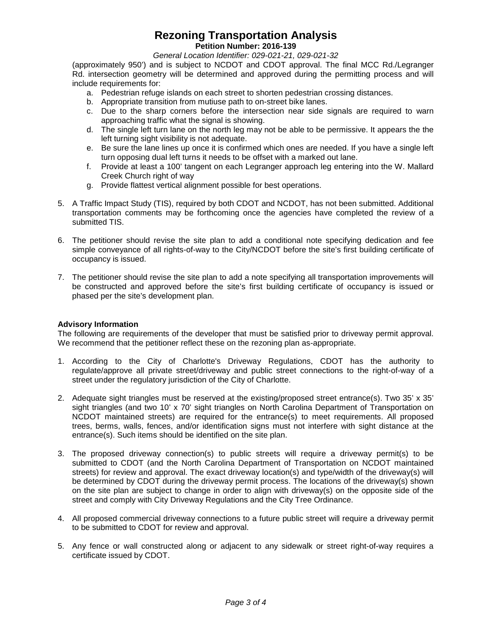# **Rezoning Transportation Analysis**

### **Petition Number: 2016-139**

*General Location Identifier: 029-021-21, 029-021-32*

(approximately 950') and is subject to NCDOT and CDOT approval. The final MCC Rd./Legranger Rd. intersection geometry will be determined and approved during the permitting process and will include requirements for:

- a. Pedestrian refuge islands on each street to shorten pedestrian crossing distances.
- b. Appropriate transition from mutiuse path to on-street bike lanes.
- c. Due to the sharp corners before the intersection near side signals are required to warn approaching traffic what the signal is showing.
- d. The single left turn lane on the north leg may not be able to be permissive. It appears the the left turning sight visibility is not adequate.
- e. Be sure the lane lines up once it is confirmed which ones are needed. If you have a single left turn opposing dual left turns it needs to be offset with a marked out lane.
- f. Provide at least a 100' tangent on each Legranger approach leg entering into the W. Mallard Creek Church right of way
- g. Provide flattest vertical alignment possible for best operations.
- 5. A Traffic Impact Study (TIS), required by both CDOT and NCDOT, has not been submitted. Additional transportation comments may be forthcoming once the agencies have completed the review of a submitted TIS.
- 6. The petitioner should revise the site plan to add a conditional note specifying dedication and fee simple conveyance of all rights-of-way to the City/NCDOT before the site's first building certificate of occupancy is issued.
- 7. The petitioner should revise the site plan to add a note specifying all transportation improvements will be constructed and approved before the site's first building certificate of occupancy is issued or phased per the site's development plan.

### **Advisory Information**

The following are requirements of the developer that must be satisfied prior to driveway permit approval. We recommend that the petitioner reflect these on the rezoning plan as-appropriate.

- 1. According to the City of Charlotte's Driveway Regulations, CDOT has the authority to regulate/approve all private street/driveway and public street connections to the right-of-way of a street under the regulatory jurisdiction of the City of Charlotte.
- 2. Adequate sight triangles must be reserved at the existing/proposed street entrance(s). Two 35' x 35' sight triangles (and two 10' x 70' sight triangles on North Carolina Department of Transportation on NCDOT maintained streets) are required for the entrance(s) to meet requirements. All proposed trees, berms, walls, fences, and/or identification signs must not interfere with sight distance at the entrance(s). Such items should be identified on the site plan.
- 3. The proposed driveway connection(s) to public streets will require a driveway permit(s) to be submitted to CDOT (and the North Carolina Department of Transportation on NCDOT maintained streets) for review and approval. The exact driveway location(s) and type/width of the driveway(s) will be determined by CDOT during the driveway permit process. The locations of the driveway(s) shown on the site plan are subject to change in order to align with driveway(s) on the opposite side of the street and comply with City Driveway Regulations and the City Tree Ordinance.
- 4. All proposed commercial driveway connections to a future public street will require a driveway permit to be submitted to CDOT for review and approval.
- 5. Any fence or wall constructed along or adjacent to any sidewalk or street right-of-way requires a certificate issued by CDOT.